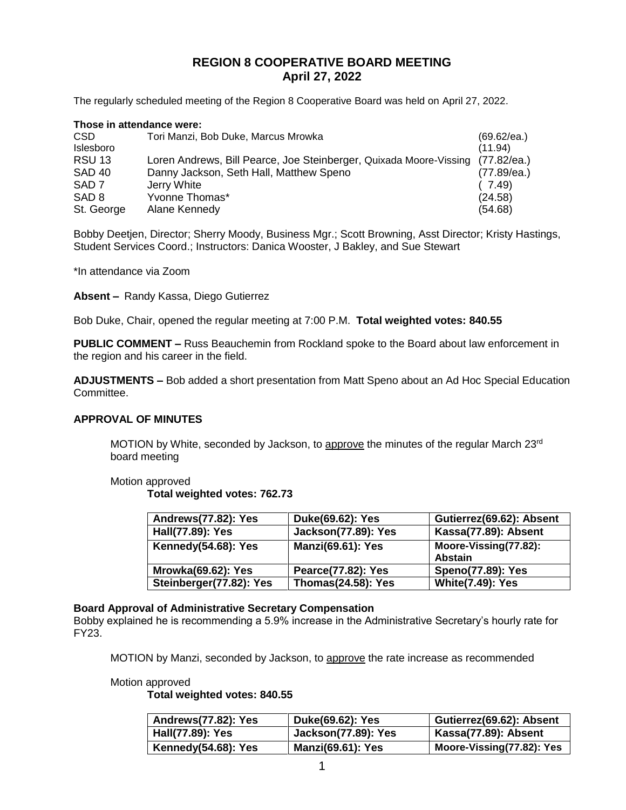# **REGION 8 COOPERATIVE BOARD MEETING April 27, 2022**

The regularly scheduled meeting of the Region 8 Cooperative Board was held on April 27, 2022.

| Those in attendance were: |                                                                                |             |
|---------------------------|--------------------------------------------------------------------------------|-------------|
| CSD.                      | Tori Manzi, Bob Duke, Marcus Mrowka                                            | (69.62/ea.) |
| Islesboro                 |                                                                                | (11.94)     |
| <b>RSU 13</b>             | Loren Andrews, Bill Pearce, Joe Steinberger, Quixada Moore-Vissing (77.82/ea.) |             |
| <b>SAD 40</b>             | Danny Jackson, Seth Hall, Matthew Speno                                        | (77.89/ea.) |
| SAD <sub>7</sub>          | Jerry White                                                                    | (7.49)      |
| SAD <sub>8</sub>          | Yvonne Thomas*                                                                 | (24.58)     |
| St. George                | Alane Kennedy                                                                  | (54.68)     |

Bobby Deetjen, Director; Sherry Moody, Business Mgr.; Scott Browning, Asst Director; Kristy Hastings, Student Services Coord.; Instructors: Danica Wooster, J Bakley, and Sue Stewart

\*In attendance via Zoom

**Absent –** Randy Kassa, Diego Gutierrez

Bob Duke, Chair, opened the regular meeting at 7:00 P.M. **Total weighted votes: 840.55**

**PUBLIC COMMENT –** Russ Beauchemin from Rockland spoke to the Board about law enforcement in the region and his career in the field.

**ADJUSTMENTS –** Bob added a short presentation from Matt Speno about an Ad Hoc Special Education Committee.

### **APPROVAL OF MINUTES**

MOTION by White, seconded by Jackson, to approve the minutes of the regular March 23rd board meeting

Motion approved

**Total weighted votes: 762.73**

| Andrews(77.82): Yes       | Duke(69.62): Yes           | Gutierrez(69.62): Absent         |
|---------------------------|----------------------------|----------------------------------|
| Hall(77.89): Yes          | <b>Jackson(77.89): Yes</b> | Kassa(77.89): Absent             |
| Kennedy(54.68): Yes       | <b>Manzi(69.61): Yes</b>   | Moore-Vissing(77.82):<br>Abstain |
| <b>Mrowka(69.62): Yes</b> | Pearce(77.82): Yes         | Speno(77.89): Yes                |
| Steinberger(77.82): Yes   | <b>Thomas(24.58): Yes</b>  | <b>White(7.49): Yes</b>          |

### **Board Approval of Administrative Secretary Compensation**

Bobby explained he is recommending a 5.9% increase in the Administrative Secretary's hourly rate for FY23.

MOTION by Manzi, seconded by Jackson, to approve the rate increase as recommended

#### Motion approved

**Total weighted votes: 840.55**

| Andrews(77.82): Yes | Duke(69.62): Yes           | Gutierrez(69.62): Absent  |
|---------------------|----------------------------|---------------------------|
| Hall(77.89): Yes    | <b>Jackson(77.89): Yes</b> | Kassa(77.89): Absent      |
| Kennedy(54.68): Yes | <b>Manzi(69.61): Yes</b>   | Moore-Vissing(77.82): Yes |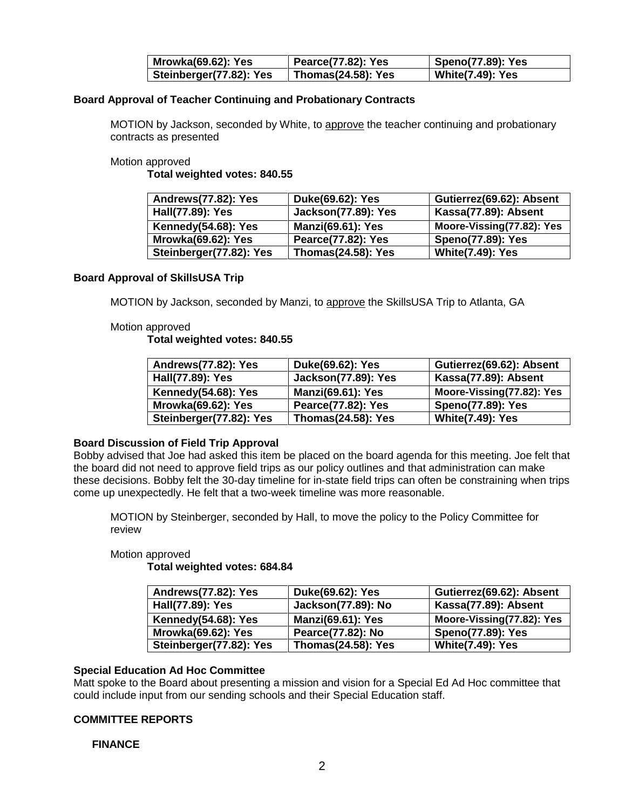| Mrowka(69.62): Yes       | Pearce(77.82): Yes        | Speno(77.89): Yes       |
|--------------------------|---------------------------|-------------------------|
| Steinberger(77.82): Yes! | <b>Thomas(24.58): Yes</b> | <b>White(7.49): Yes</b> |

### **Board Approval of Teacher Continuing and Probationary Contracts**

MOTION by Jackson, seconded by White, to approve the teacher continuing and probationary contracts as presented

Motion approved

**Total weighted votes: 840.55**

| Andrews(77.82): Yes       | Duke(69.62): Yes           | Gutierrez(69.62): Absent  |
|---------------------------|----------------------------|---------------------------|
| Hall(77.89): Yes          | <b>Jackson(77.89): Yes</b> | Kassa(77.89): Absent      |
| Kennedy(54.68): Yes       | <b>Manzi(69.61): Yes</b>   | Moore-Vissing(77.82): Yes |
| <b>Mrowka(69.62): Yes</b> | Pearce(77.82): Yes         | <b>Speno(77.89): Yes</b>  |
| Steinberger(77.82): Yes   | <b>Thomas(24.58): Yes</b>  | <b>White(7.49): Yes</b>   |

### **Board Approval of SkillsUSA Trip**

MOTION by Jackson, seconded by Manzi, to approve the SkillsUSA Trip to Atlanta, GA

### Motion approved

**Total weighted votes: 840.55**

| Andrews(77.82): Yes       | Duke(69.62): Yes           | Gutierrez(69.62): Absent  |
|---------------------------|----------------------------|---------------------------|
| Hall(77.89): Yes          | <b>Jackson(77.89): Yes</b> | Kassa(77.89): Absent      |
| Kennedy(54.68): Yes       | <b>Manzi(69.61): Yes</b>   | Moore-Vissing(77.82): Yes |
| <b>Mrowka(69.62): Yes</b> | Pearce(77.82): Yes         | Speno(77.89): Yes         |
| Steinberger(77.82): Yes   | <b>Thomas(24.58): Yes</b>  | <b>White(7.49): Yes</b>   |

#### **Board Discussion of Field Trip Approval**

Bobby advised that Joe had asked this item be placed on the board agenda for this meeting. Joe felt that the board did not need to approve field trips as our policy outlines and that administration can make these decisions. Bobby felt the 30-day timeline for in-state field trips can often be constraining when trips come up unexpectedly. He felt that a two-week timeline was more reasonable.

MOTION by Steinberger, seconded by Hall, to move the policy to the Policy Committee for review

#### Motion approved

**Total weighted votes: 684.84**

| Andrews(77.82): Yes       | Duke(69.62): Yes          | Gutierrez(69.62): Absent  |
|---------------------------|---------------------------|---------------------------|
| Hall(77.89): Yes          | Jackson(77.89): No        | Kassa(77.89): Absent      |
| Kennedy(54.68): Yes       | <b>Manzi(69.61): Yes</b>  | Moore-Vissing(77.82): Yes |
| <b>Mrowka(69.62): Yes</b> | Pearce(77.82): No         | <b>Speno(77.89): Yes</b>  |
| Steinberger(77.82): Yes   | <b>Thomas(24.58): Yes</b> | <b>White(7.49): Yes</b>   |

# **Special Education Ad Hoc Committee**

Matt spoke to the Board about presenting a mission and vision for a Special Ed Ad Hoc committee that could include input from our sending schools and their Special Education staff.

### **COMMITTEE REPORTS**

#### **FINANCE**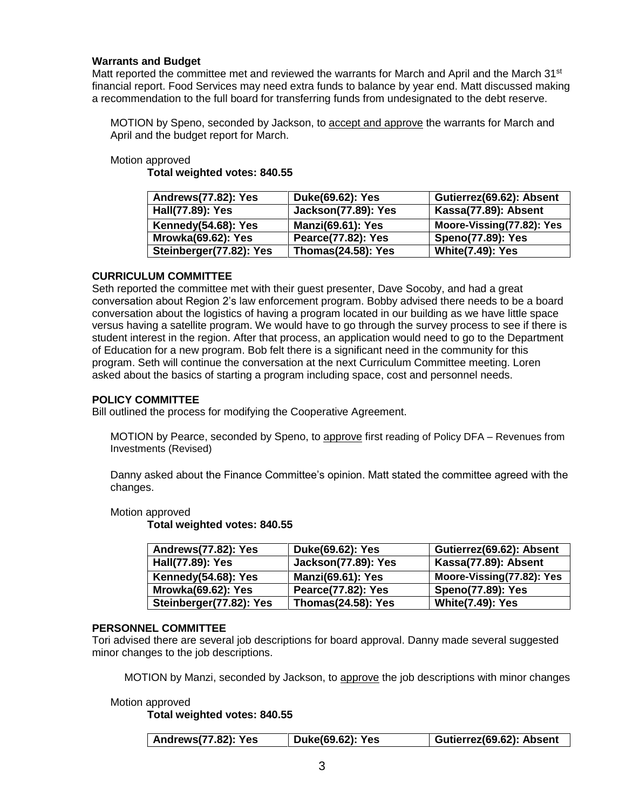### **Warrants and Budget**

Matt reported the committee met and reviewed the warrants for March and April and the March 31<sup>st</sup> financial report. Food Services may need extra funds to balance by year end. Matt discussed making a recommendation to the full board for transferring funds from undesignated to the debt reserve.

MOTION by Speno, seconded by Jackson, to accept and approve the warrants for March and April and the budget report for March.

### Motion approved

**Total weighted votes: 840.55**

| Andrews(77.82): Yes       | Duke(69.62): Yes           | Gutierrez(69.62): Absent  |
|---------------------------|----------------------------|---------------------------|
| Hall(77.89): Yes          | <b>Jackson(77.89): Yes</b> | Kassa(77.89): Absent      |
| Kennedy(54.68): Yes       | <b>Manzi(69.61): Yes</b>   | Moore-Vissing(77.82): Yes |
| <b>Mrowka(69.62): Yes</b> | Pearce(77.82): Yes         | <b>Speno(77.89): Yes</b>  |
| Steinberger(77.82): Yes   | <b>Thomas(24.58): Yes</b>  | <b>White(7.49): Yes</b>   |

# **CURRICULUM COMMITTEE**

Seth reported the committee met with their guest presenter, Dave Socoby, and had a great conversation about Region 2's law enforcement program. Bobby advised there needs to be a board conversation about the logistics of having a program located in our building as we have little space versus having a satellite program. We would have to go through the survey process to see if there is student interest in the region. After that process, an application would need to go to the Department of Education for a new program. Bob felt there is a significant need in the community for this program. Seth will continue the conversation at the next Curriculum Committee meeting. Loren asked about the basics of starting a program including space, cost and personnel needs.

# **POLICY COMMITTEE**

Bill outlined the process for modifying the Cooperative Agreement.

MOTION by Pearce, seconded by Speno, to approve first reading of Policy DFA – Revenues from Investments (Revised)

Danny asked about the Finance Committee's opinion. Matt stated the committee agreed with the changes.

### Motion approved

**Total weighted votes: 840.55**

| Andrews(77.82): Yes       | Duke(69.62): Yes           | Gutierrez(69.62): Absent  |
|---------------------------|----------------------------|---------------------------|
| Hall(77.89): Yes          | <b>Jackson(77.89): Yes</b> | Kassa(77.89): Absent      |
| Kennedy(54.68): Yes       | <b>Manzi(69.61): Yes</b>   | Moore-Vissing(77.82): Yes |
| <b>Mrowka(69.62): Yes</b> | Pearce(77.82): Yes         | <b>Speno(77.89): Yes</b>  |
| Steinberger(77.82): Yes   | <b>Thomas(24.58): Yes</b>  | <b>White(7.49): Yes</b>   |

### **PERSONNEL COMMITTEE**

Tori advised there are several job descriptions for board approval. Danny made several suggested minor changes to the job descriptions.

MOTION by Manzi, seconded by Jackson, to approve the job descriptions with minor changes

Motion approved

**Total weighted votes: 840.55**